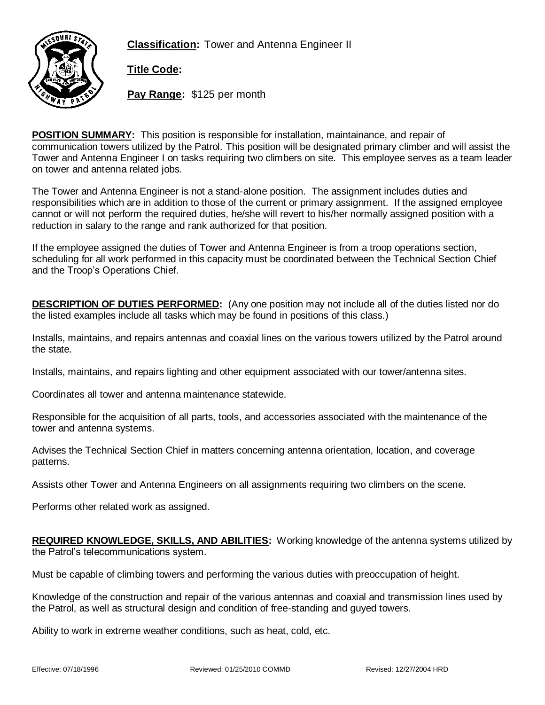**Classification:** Tower and Antenna Engineer II



**Title Code:**

**Pay Range:** \$125 per month

**POSITION SUMMARY:** This position is responsible for installation, maintainance, and repair of communication towers utilized by the Patrol. This position will be designated primary climber and will assist the Tower and Antenna Engineer I on tasks requiring two climbers on site. This employee serves as a team leader on tower and antenna related jobs.

The Tower and Antenna Engineer is not a stand-alone position. The assignment includes duties and responsibilities which are in addition to those of the current or primary assignment. If the assigned employee cannot or will not perform the required duties, he/she will revert to his/her normally assigned position with a reduction in salary to the range and rank authorized for that position.

If the employee assigned the duties of Tower and Antenna Engineer is from a troop operations section, scheduling for all work performed in this capacity must be coordinated between the Technical Section Chief and the Troop's Operations Chief.

**DESCRIPTION OF DUTIES PERFORMED:** (Any one position may not include all of the duties listed nor do the listed examples include all tasks which may be found in positions of this class.)

Installs, maintains, and repairs antennas and coaxial lines on the various towers utilized by the Patrol around the state.

Installs, maintains, and repairs lighting and other equipment associated with our tower/antenna sites.

Coordinates all tower and antenna maintenance statewide.

Responsible for the acquisition of all parts, tools, and accessories associated with the maintenance of the tower and antenna systems.

Advises the Technical Section Chief in matters concerning antenna orientation, location, and coverage patterns.

Assists other Tower and Antenna Engineers on all assignments requiring two climbers on the scene.

Performs other related work as assigned.

**REQUIRED KNOWLEDGE, SKILLS, AND ABILITIES:** Working knowledge of the antenna systems utilized by the Patrol's telecommunications system.

Must be capable of climbing towers and performing the various duties with preoccupation of height.

Knowledge of the construction and repair of the various antennas and coaxial and transmission lines used by the Patrol, as well as structural design and condition of free-standing and guyed towers.

Ability to work in extreme weather conditions, such as heat, cold, etc.